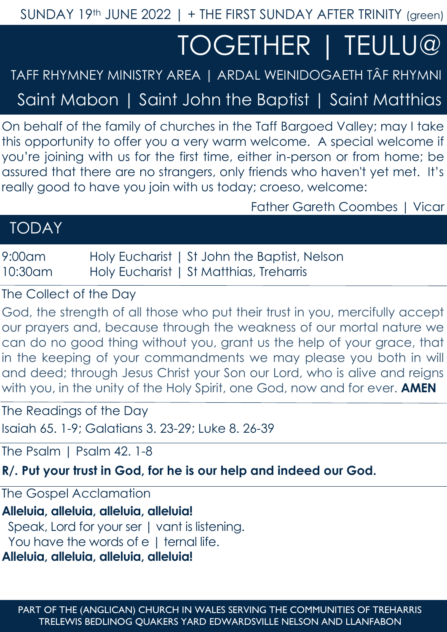SUNDAY 19th JUNE 2022 | + THE FIRST SUNDAY AFTER TRINITY (green)

# TOGETHER | TEULU@

TAFF RHYMNEY MINISTRY AREA | ARDAL WEINIDOGAETH TÂF RHYMNI

Saint Mabon | Saint John the Baptist | Saint Matthias

On behalf of the family of churches in the Taff Bargoed Valley; may I take this opportunity to offer you a very warm welcome. A special welcome if you're joining with us for the first time, either in-person or from home; be assured that there are no strangers, only friends who haven't yet met. It's really good to have you join with us today; croeso, welcome:

Father Gareth Coombes | Vicar

## TODAY

9:00am Holy Eucharist | St John the Baptist, Nelson 10:30am Holy Eucharist | St Matthias, Treharris

The Collect of the Day

God, the strength of all those who put their trust in you, mercifully accept our prayers and, because through the weakness of our mortal nature we can do no good thing without you, grant us the help of your grace, that in the keeping of your commandments we may please you both in will and deed; through Jesus Christ your Son our Lord, who is alive and reigns with you, in the unity of the Holy Spirit, one God, now and for ever. **AMEN**

The Readings of the Day Isaiah 65. 1-9; Galatians 3. 23-29; Luke 8. 26-39

The Psalm 1 Psalm 42, 1-8

**R/. Put your trust in God, for he is our help and indeed our God.**

The Gospel Acclamation

**Alleluia, alleluia, alleluia, alleluia!** Speak, Lord for your ser | vant is listening. You have the words of e | ternal life. **Alleluia, alleluia, alleluia, alleluia!**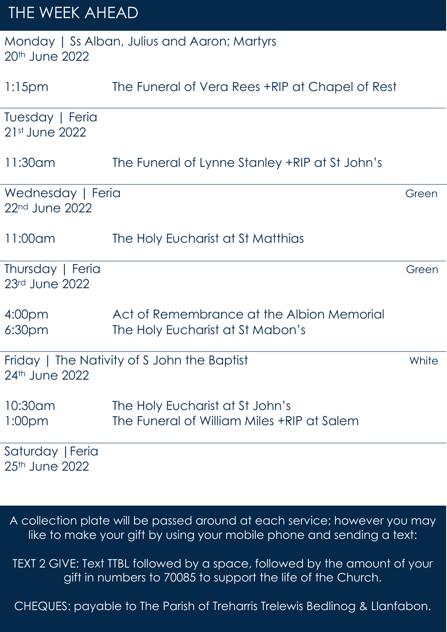# THE WEEK AHEAD

|                |  | Monday   Ss Alban, Julius and Aaron; Martyrs |  |
|----------------|--|----------------------------------------------|--|
| 20th June 2022 |  |                                              |  |

| $1:15$ pm                                | The Funeral of Vera Rees +RIP at Chapel of Rest                               |       |
|------------------------------------------|-------------------------------------------------------------------------------|-------|
| Tuesday   Feria<br>21st June 2022        |                                                                               |       |
| 11:30am                                  | The Funeral of Lynne Stanley +RIP at St John's                                |       |
| Wednesday   Feria<br>22nd June 2022      |                                                                               | Green |
| 11:00am                                  | The Holy Eucharist at St Matthias                                             |       |
| Thursday   Feria<br>23rd June 2022       |                                                                               | Green |
| 4:00 <sub>pm</sub><br>6:30 <sub>pm</sub> | Act of Remembrance at the Albion Memorial<br>The Holy Eucharist at St Mabon's |       |
| 24th June 2022                           | Friday   The Nativity of S John the Baptist                                   | White |
| 10:30am<br>1:00 <sub>pm</sub>            | The Holy Eucharist at St John's<br>The Funeral of William Miles +RIP at Salem |       |
| Saturday   Feria<br>25th June 2022       |                                                                               |       |

A collection plate will be passed around at each service; however you may like to make your gift by using your mobile phone and sending a text:

TEXT 2 GIVE: Text TTBL followed by a space, followed by the amount of your gift in numbers to 70085 to support the life of the Church.

CHEQUES: payable to The Parish of Treharris Trelewis Bedlinog & Llanfabon.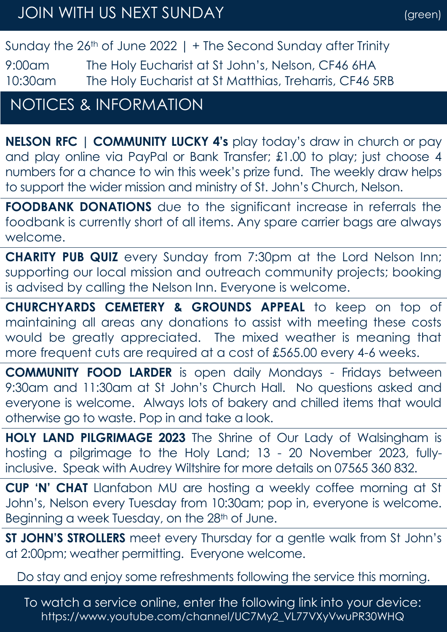Sunday the  $26<sup>th</sup>$  of June 2022 | + The Second Sunday after Trinity

9:00am The Holy Eucharist at St John's, Nelson, CF46 6HA 10:30am The Holy Eucharist at St Matthias, Treharris, CF46 5RB

## NOTICES & INFORMATION

**NELSON RFC | COMMUNITY LUCKY 4's** play today's draw in church or pay and play online via PayPal or Bank Transfer; £1.00 to play; just choose 4 numbers for a chance to win this week's prize fund. The weekly draw helps to support the wider mission and ministry of St. John's Church, Nelson.

**FOODBANK DONATIONS** due to the significant increase in referrals the foodbank is currently short of all items. Any spare carrier bags are always welcome.

**CHARITY PUB QUIZ** every Sunday from 7:30pm at the Lord Nelson Inn; supporting our local mission and outreach community projects; booking is advised by calling the Nelson Inn. Everyone is welcome.

**CHURCHYARDS CEMETERY & GROUNDS APPEAL** to keep on top of maintaining all areas any donations to assist with meeting these costs would be greatly appreciated. The mixed weather is meaning that more frequent cuts are required at a cost of £565.00 every 4-6 weeks.

**COMMUNITY FOOD LARDER** is open daily Mondays - Fridays between 9:30am and 11:30am at St John's Church Hall. No questions asked and everyone is welcome. Always lots of bakery and chilled items that would otherwise go to waste. Pop in and take a look.

**HOLY LAND PILGRIMAGE 2023** The Shrine of Our Lady of Walsingham is hosting a pilgrimage to the Holy Land; 13 - 20 November 2023, fullyinclusive. Speak with Audrey Wiltshire for more details on 07565 360 832.

**CUP 'N' CHAT** Llanfabon MU are hosting a weekly coffee morning at St John's, Nelson every Tuesday from 10:30am; pop in, everyone is welcome. Beginning a week Tuesday, on the 28<sup>th</sup> of June.

**ST JOHN'S STROLLERS** meet every Thursday for a gentle walk from St John's at 2:00pm; weather permitting. Everyone welcome.

Do stay and enjoy some refreshments following the service this morning.

To watch a service online, enter the following link into your device: https://www.youtube.com/channel/UC7My2\_VL77VXyVwuPR30WHQ